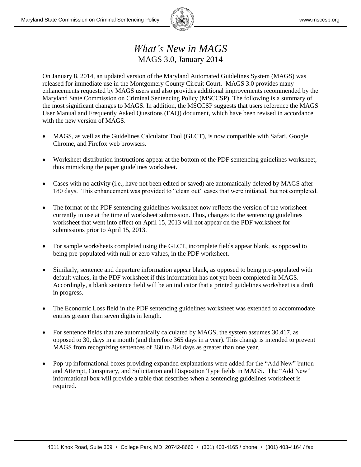

## *What's New in MAGS* MAGS 3.0, January 2014

On January 8, 2014, an updated version of the Maryland Automated Guidelines System (MAGS) was released for immediate use in the Montgomery County Circuit Court. MAGS 3.0 provides many enhancements requested by MAGS users and also provides additional improvements recommended by the Maryland State Commission on Criminal Sentencing Policy (MSCCSP). The following is a summary of the most significant changes to MAGS. In addition, the MSCCSP suggests that users reference the MAGS User Manual and Frequently Asked Questions (FAQ) document, which have been revised in accordance with the new version of MAGS.

- MAGS, as well as the Guidelines Calculator Tool (GLCT), is now compatible with Safari, Google Chrome, and Firefox web browsers.
- Worksheet distribution instructions appear at the bottom of the PDF sentencing guidelines worksheet, thus mimicking the paper guidelines worksheet.
- Cases with no activity (i.e., have not been edited or saved) are automatically deleted by MAGS after 180 days. This enhancement was provided to "clean out" cases that were initiated, but not completed.
- The format of the PDF sentencing guidelines worksheet now reflects the version of the worksheet currently in use at the time of worksheet submission. Thus, changes to the sentencing guidelines worksheet that went into effect on April 15, 2013 will not appear on the PDF worksheet for submissions prior to April 15, 2013.
- For sample worksheets completed using the GLCT, incomplete fields appear blank, as opposed to being pre-populated with null or zero values, in the PDF worksheet.
- Similarly, sentence and departure information appear blank, as opposed to being pre-populated with default values, in the PDF worksheet if this information has not yet been completed in MAGS. Accordingly, a blank sentence field will be an indicator that a printed guidelines worksheet is a draft in progress.
- The Economic Loss field in the PDF sentencing guidelines worksheet was extended to accommodate entries greater than seven digits in length.
- For sentence fields that are automatically calculated by MAGS, the system assumes 30.417, as opposed to 30, days in a month (and therefore 365 days in a year). This change is intended to prevent MAGS from recognizing sentences of 360 to 364 days as greater than one year.
- Pop-up informational boxes providing expanded explanations were added for the "Add New" button and Attempt, Conspiracy, and Solicitation and Disposition Type fields in MAGS. The "Add New" informational box will provide a table that describes when a sentencing guidelines worksheet is required.